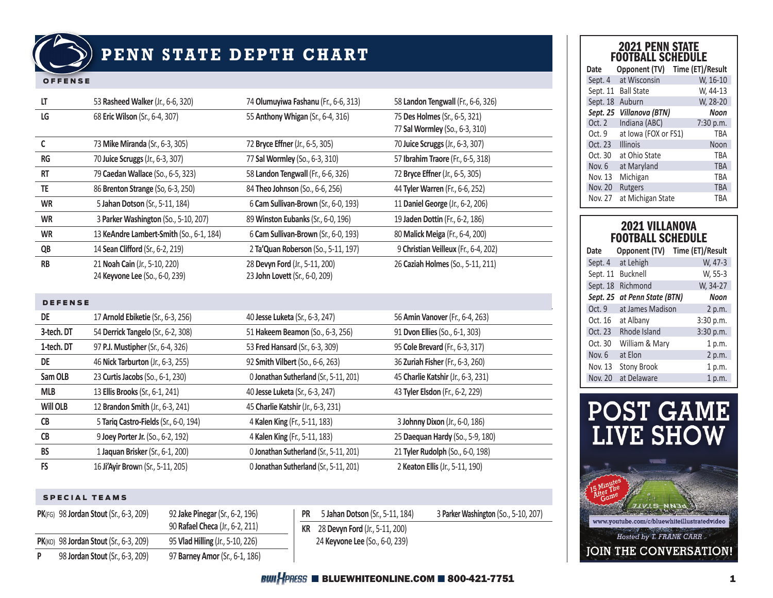

## **PENN STATE DEPTH CHART**

#### OFFENSE

| LT             | 53 Rasheed Walker (Jr., 6-6, 320)        | 74 Olumuyiwa Fashanu (Fr., 6-6, 313)   | 58 Landon Tengwall (Fr., 6-6, 326)   |
|----------------|------------------------------------------|----------------------------------------|--------------------------------------|
| LG             | 68 Eric Wilson (Sr., 6-4, 307)           | 55 Anthony Whigan (Sr., 6-4, 316)      | 75 Des Holmes (Sr., 6-5, 321)        |
|                |                                          |                                        | 77 Sal Wormley (So., 6-3, 310)       |
| C              | 73 Mike Miranda (Sr., 6-3, 305)          | 72 Bryce Effner (Jr., 6-5, 305)        | 70 Juice Scruggs (Jr., 6-3, 307)     |
| RG             | 70 Juice Scruggs (Jr., 6-3, 307)         | 77 Sal Wormley (So., 6-3, 310)         | 57 Ibrahim Traore (Fr., 6-5, 318)    |
| <b>RT</b>      | 79 Caedan Wallace (So., 6-5, 323)        | 58 Landon Tengwall (Fr., 6-6, 326)     | 72 Bryce Effner (Jr., 6-5, 305)      |
| TE             | 86 Brenton Strange (So, 6-3, 250)        | 84 Theo Johnson (So., 6-6, 256)        | 44 Tyler Warren (Fr., 6-6, 252)      |
| <b>WR</b>      | 5 Jahan Dotson (Sr., 5-11, 184)          | 6 Cam Sullivan-Brown (Sr., 6-0, 193)   | 11 Daniel George (Jr., 6-2, 206)     |
| <b>WR</b>      | 3 Parker Washington (So., 5-10, 207)     | 89 Winston Eubanks (Sr., 6-0, 196)     | 19 Jaden Dottin (Fr., 6-2, 186)      |
| <b>WR</b>      | 13 KeAndre Lambert-Smith (So., 6-1, 184) | 6 Cam Sullivan-Brown (Sr., 6-0, 193)   | 80 Malick Meiga (Fr., 6-4, 200)      |
| QB             | 14 Sean Clifford (Sr., 6-2, 219)         | 2 Ta'Quan Roberson (So., 5-11, 197)    | 9 Christian Veilleux (Fr., 6-4, 202) |
| <b>RB</b>      | 21 Noah Cain (Jr., 5-10, 220)            | 28 Devyn Ford (Jr., 5-11, 200)         | 26 Caziah Holmes (So., 5-11, 211)    |
|                | 24 Keyvone Lee (So., 6-0, 239)           | 23 John Lovett (Sr., 6-0, 209)         |                                      |
|                |                                          |                                        |                                      |
| <b>DEFENSE</b> |                                          |                                        |                                      |
|                |                                          |                                        |                                      |
| <b>DE</b>      | 17 Arnold Ebiketie (Sr., 6-3, 256)       | 40 Jesse Luketa (Sr., 6-3, 247)        | 56 Amin Vanover (Fr., 6-4, 263)      |
| 3-tech. DT     | 54 Derrick Tangelo (Sr., 6-2, 308)       | 51 Hakeem Beamon (So., 6-3, 256)       | 91 Dvon Ellies (So., 6-1, 303)       |
| 1-tech. DT     | 97 P.J. Mustipher (Sr., 6-4, 326)        | 53 Fred Hansard (Sr., 6-3, 309)        | 95 Cole Brevard (Fr., 6-3, 317)      |
| <b>DE</b>      | 46 Nick Tarburton (Jr., 6-3, 255)        | 92 Smith Vilbert (So., 6-6, 263)       | 36 Zuriah Fisher (Fr., 6-3, 260)     |
| Sam OLB        | 23 Curtis Jacobs (So., 6-1, 230)         | 0 Jonathan Sutherland (Sr., 5-11, 201) | 45 Charlie Katshir (Jr., 6-3, 231)   |
| <b>MLB</b>     | 13 Ellis Brooks (Sr., 6-1, 241)          | 40 Jesse Luketa (Sr., 6-3, 247)        | 43 Tyler Elsdon (Fr., 6-2, 229)      |
| Will OLB       | 12 Brandon Smith (Jr., 6-3, 241)         | 45 Charlie Katshir (Jr., 6-3, 231)     |                                      |
| CB             | 5 Tariq Castro-Fields (Sr., 6-0, 194)    | 4 Kalen King (Fr., 5-11, 183)          | 3 Johnny Dixon (Jr., 6-0, 186)       |

**BS** 1 **Jaquan Brisker** (Sr., 6-1, 200) 0 **Jonathan Sutherland** (Sr., 5-11, 201) 21 **Tyler Rudolph** (So., 6-0, 198) **FS** 16 **Ji'Ayir Brow**n (Sr., 5-11, 205) 0 **Jonathan Sutherland** (Sr., 5-11, 201) 2 **Keaton Ellis** (Jr., 5-11, 190)

### SPECIAL TEAMS

|   | <b>PK(FG)</b> 98 Jordan Stout (Sr., 6-3, 209) | 92 Jake Pinegar (Sr., 6-2, 196)  |
|---|-----------------------------------------------|----------------------------------|
|   |                                               | 90 Rafael Checa (Jr., 6-2, 211)  |
|   | PK(KO) 98 Jordan Stout (Sr., 6-3, 209)        | 95 Vlad Hilling (Jr., 5-10, 226) |
| P | 98 Jordan Stout (Sr., 6-3, 209)               | 97 Barney Amor (Sr., 6-1, 186)   |

**PR** 5 **Jahan Dotson** (Sr., 5-11, 184) 3 **Parker Washington** (So., 5-10, 207) **KR** 28 **Devyn Ford** (Jr., 5-11, 200) 24 **Keyvone Lee** (So., 6-0, 239)

## 2021 PENN STATE FOOTBALL SCHEDULE

| Date     | Opponent (TV)        | Time (ET)/Result |
|----------|----------------------|------------------|
| Sept. 4  | at Wisconsin         | W, 16-10         |
| Sept. 11 | <b>Ball State</b>    | W, 44-13         |
| Sept. 18 | Auburn               | W, 28-20         |
| Sept. 25 | Villanova (BTN)      | <b>Noon</b>      |
| Oct. 2   | Indiana (ABC)        | 7:30 p.m.        |
| Oct. 9   | at Iowa (FOX or FS1) | <b>TRA</b>       |
| Oct. 23  | <b>Illinois</b>      | Noon             |
| Oct. 30  | at Ohio State        | TBA              |
| Nov. 6   | at Maryland          | <b>TBA</b>       |
| Nov. 13  | Michigan             | TBA              |
| Nov. 20  | <b>Rutgers</b>       | <b>TBA</b>       |
| Nov. 27  | at Michigan State    | TBA              |

## 2021 VILLANOVA FOOTBALL SCHEDULE

| Opponent (TV)        | Time (ET)/Result                                          |
|----------------------|-----------------------------------------------------------|
| at Lehigh            | W, 47-3                                                   |
| Bucknell<br>Sept. 11 | W, 55-3                                                   |
| Richmond             | W, 34-27                                                  |
| Sept. 25             | Noon                                                      |
|                      | 2 p.m.                                                    |
| at Albany            | 3:30 p.m.                                                 |
| Rhode Island         | 3:30 p.m.                                                 |
|                      | 1 p.m.                                                    |
| at Elon              | 2 p.m.                                                    |
| <b>Stony Brook</b>   | 1 p.m.                                                    |
| at Delaware          | 1 p.m.                                                    |
|                      | at Penn State (BTN)<br>at James Madison<br>William & Mary |

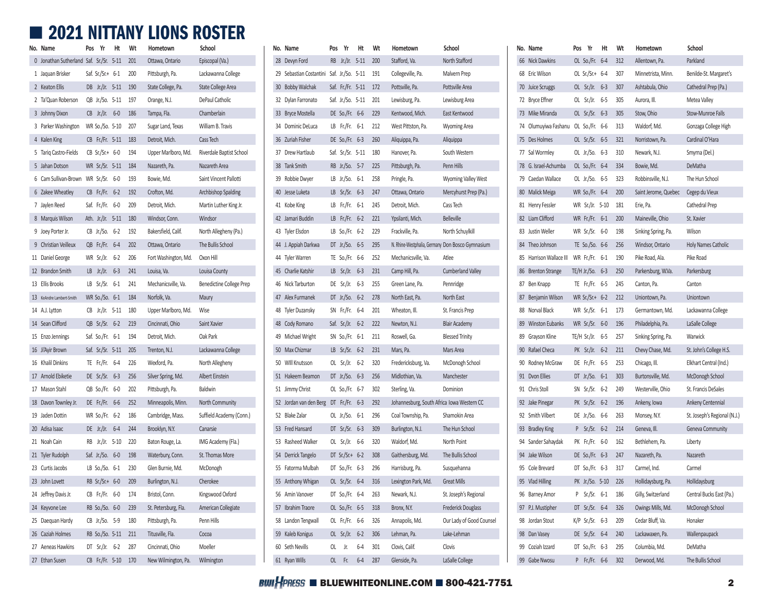# **■ 2021 NITTANY LIONS ROSTER**

| No. Name                                    | Yr<br>Pos             | Ht | Wt  | Hometown             | School                          | No. Name                                      | Pos | Yr                    | Ht | Wt  | Hometown                                   | School                                           | No. Name                                | Pos | Yr                   | Ht  | Wt      | Hometown             |
|---------------------------------------------|-----------------------|----|-----|----------------------|---------------------------------|-----------------------------------------------|-----|-----------------------|----|-----|--------------------------------------------|--------------------------------------------------|-----------------------------------------|-----|----------------------|-----|---------|----------------------|
| 0 Jonathan Sutherland Saf. Sr./Sr. 5-11 201 |                       |    |     | Ottawa, Ontario      | Episcopal (Va.)                 | 28 Devyn Ford                                 |     | RB Jr./Jr. 5-11 200   |    |     | Stafford. Va.                              | North Stafford                                   | 66 Nick Dawkins                         |     | OL So./Fr. 6-4 312   |     |         | Allentown, Pa.       |
| 1 Jaquan Brisker                            | Saf. Sr./Sr.+ 6-1     |    | 200 | Pittsburgh, Pa.      | Lackawanna College              | 29 Sebastian Costantini Saf. Jr./So. 5-11 191 |     |                       |    |     | Collegeville, Pa.                          | Malvern Prep                                     | 68 Eric Wilson                          |     | OL Sr./Sr.+ 6-4      |     | 307     | Minnetrista, Minn.   |
| 2 Keaton Ellis                              | DB Jr./Jr. 5-11 190   |    |     | State College, Pa.   | State College Area              | 30 Bobby Walchak                              |     | Saf. Fr./Fr. 5-11 172 |    |     | Pottsville, Pa.                            | Pottsville Area                                  | 70 Juice Scruggs                        |     | OL Sr./Jr. 6-3 307   |     |         | Ashtabula, Ohio      |
| 2 Ta'Quan Roberson                          | QB Jr./So. 5-11 197   |    |     | Orange, N.J.         | DePaul Catholic                 | 32 Dylan Farronato                            |     | Saf. Jr./So. 5-11 201 |    |     | Lewisburg, Pa.                             | Lewisburg Area                                   | 72 Bryce Effner                         |     | OL Sr./Jr. 6-5 305   |     |         | Aurora, Ill.         |
| 3 Johnny Dixon                              | $CB$ Jr./Jr. $6-0$    |    | 186 | Tampa, Fla.          | Chamberlain                     | 33 Bryce Mostella                             |     | DE So./Fr. 6-6 229    |    |     | Kentwood, Mich.                            | East Kentwood                                    | 73 Mike Miranda                         |     | OL Sr./Sr.           |     | 6-3 305 | Stow, Ohio           |
| 3 Parker Washington                         | WR So./So. 5-10 207   |    |     | Sugar Land, Texas    | William B. Travis               | 34 Dominic DeLuca                             |     | LB Fr./Fr. 6-1 212    |    |     | West Pittston, Pa.                         | <b>Wyoming Area</b>                              | 74 Olumuyiwa Fashanu OL So./Fr. 6-6 313 |     |                      |     |         | Waldorf, Md.         |
| 4 Kalen King                                | CB Fr./Fr. 5-11 183   |    |     | Detroit, Mich.       | Cass Tech                       | 36 Zuriah Fisher                              |     | DE So./Fr. 6-3 260    |    |     | Aliquippa, Pa.                             | Aliquippa                                        | 75 Des Holmes                           |     | OL Sr./Sr. 6-5 321   |     |         | Norristown, Pa.      |
| 5 Tariq Castro-Fields                       | $CB$ Sr./Sr.+ 6-0     |    | 194 | Upper Marlboro, Md.  | Riverdale Baptist School        | 37 Drew Hartlaub                              |     | Saf. Sr./Sr. 5-11 180 |    |     | Hanover, Pa.                               | South Western                                    | 77 Sal Wormley                          |     | OL Jr./So. 6-3 310   |     |         | Newark, N.J.         |
| 5 Jahan Dotson                              | WR Sr./Sr. 5-11 184   |    |     | Nazareth, Pa.        | Nazareth Area                   | 38 Tank Smith                                 |     | RB Jr./So. 5-7 225    |    |     | Pittsburgh, Pa.                            | Penn Hills                                       | 78 G. Israel-Achumba                    |     | OL So./Fr. 6-4 334   |     |         | Bowie, Md.           |
| 6 Cam Sullivan-Brown WR Sr./Sr. 6-0         |                       |    | 193 | Bowie, Md.           | Saint Vincent Pallotti          | 39 Robbie Dwyer                               |     | LB Jr./So. 6-1 258    |    |     | Pringle, Pa.                               | Wyoming Valley West                              | 79 Caedan Wallace                       |     | OL Jr./So. 6-5 323   |     |         | Robbinsville, N.J.   |
| 6 Zakee Wheatley                            | CB Fr./Fr. 6-2        |    | 192 | Crofton, Md.         | Archbishop Spalding             | 40 Jesse Luketa                               |     | LB Sr./Sr. 6-3 247    |    |     | Ottawa, Ontario                            | Mercyhurst Prep (Pa.)                            | 80 Malick Meiga                         |     | WR So./Fr. 6-4 200   |     |         | Saint Jerome, Quebec |
| 7 Jaylen Reed                               | Saf. Fr./Fr. 6-0      |    | 209 | Detroit, Mich.       | Martin Luther King Jr.          | 41 Kobe King                                  |     | LB Fr./Fr. 6-1 245    |    |     | Detroit, Mich.                             | Cass Tech                                        | 81 Henry Fessler                        |     | WR Sr./Jr. 5-10 181  |     |         | Erie, Pa.            |
| 8 Marquis Wilson                            | Ath. Jr./Jr. 5-11 180 |    |     | Windsor, Conn.       | Windsor                         | 42 Jamari Buddin                              |     | LB Fr./Fr. 6-2 221    |    |     | Ypsilanti, Mich.                           | Belleville                                       | 82 Liam Clifford                        |     | WR Fr./Fr. 6-1 200   |     |         | Maineville, Ohio     |
| 9 Joey Porter Jr.                           | CB Jr./So. 6-2        |    | 192 | Bakersfield, Calif.  | North Allegheny (Pa.)           | 43 Tyler Elsdon                               |     | LB So./Fr. 6-2 229    |    |     | Frackville, Pa.                            | North Schuylkill                                 | 83 Justin Weller                        |     | WR Sr./Sr. 6-0       |     | 198     | Sinking Spring, Pa.  |
| 9 Christian Veilleux                        | QB Fr./Fr. 6-4        |    | 202 | Ottawa, Ontario      | The Bullis School               | 44 J. Appiah Darkwa                           |     | DT Jr./So. 6-5 295    |    |     |                                            | N. Rhine-Westphalia, Germany Don Bosco Gymnasium | 84 Theo Johnson                         |     | TE So./So. 6-6 256   |     |         | Windsor, Ontario     |
| 11 Daniel George                            | WR Sr./Jr. 6-2 206    |    |     | Fort Washington, Md. | Oxon Hill                       | 44 Tyler Warren                               |     | TE So./Fr. 6-6 252    |    |     | Mechanicsville. Va.                        | Atlee                                            | 85 Harrison Wallace III                 |     | WR Fr./Fr. 6-1 190   |     |         | Pike Road, Ala.      |
| 12 Brandon Smith                            | LB Jr./Jr. $6-3$      |    | 241 | Louisa, Va.          | Louisa County                   | 45 Charlie Katshir                            |     | LB Sr./Jr. 6-3 231    |    |     | Camp Hill, Pa.                             | Cumberland Valley                                | 86 Brenton Strange                      |     | TE/H Jr./So. 6-3 250 |     |         | Parkersburg, W.Va.   |
| 13 Ellis Brooks                             | LB Sr./Sr. 6-1 241    |    |     | Mechanicsville, Va.  | <b>Benedictine College Prep</b> | 46 Nick Tarburton                             |     | DE Sr./Jr. 6-3 255    |    |     | Green Lane, Pa.                            | Pennridge                                        | 87 Ben Knapp                            |     | TE Fr./Fr. 6-5 245   |     |         | Canton, Pa.          |
| 13 KeAndre Lambert-Smith                    | WR So./So. 6-1 184    |    |     | Norfolk, Va.         | Maury                           | 47 Alex Furmanek                              |     | DT Jr./So. 6-2 278    |    |     | North East, Pa.                            | North East                                       | 87 Benjamin Wilson                      |     | WR Sr./Sr.+ 6-2 212  |     |         | Uniontown, Pa.       |
| 14 A.J. Lytton                              | CB Jr./Jr. 5-11 180   |    |     | Upper Marlboro, Md.  | Wise                            | 48 Tyler Duzansky                             |     | SN Fr./Fr. 6-4 201    |    |     | Wheaton, Ill.                              | St. Francis Prep                                 | 88 Norval Black                         |     | WR Sr./Sr. 6-1 173   |     |         | Germantown, Md.      |
| 14 Sean Clifford                            | QB Sr./Sr. 6-2        |    | 219 | Cincinnati, Ohio     | Saint Xavier                    | 48 Cody Romano                                |     | Saf. Sr./Jr. 6-2 222  |    |     | Newton, N.J.                               | <b>Blair Academy</b>                             | 89 Winston Eubanks                      |     | WR Sr./Sr. 6-0 196   |     |         | Philadelphia, Pa.    |
| 15 Enzo Jennings                            | Saf. So./Fr. 6-1      |    | 194 | Detroit, Mich.       | Oak Park                        | 49 Michael Wright                             |     | SN So./Fr. 6-1 211    |    |     | Roswell, Ga.                               | <b>Blessed Trinity</b>                           | 89 Grayson Kline                        |     | TE/H Sr./Jr. 6-5 257 |     |         | Sinking Spring, Pa.  |
| 16 Ji'Ayir Brown                            | Saf. Sr./Sr. 5-11 205 |    |     | Trenton, N.J.        | Lackawanna College              | 50 Max Chizmar                                |     | LB Sr./Sr. 6-2 231    |    |     | Mars, Pa.                                  | Mars Area                                        | 90 Rafael Checa                         |     | PK Sr./Jr. 6-2 211   |     |         | Chevy Chase, Md.     |
| 16 Khalil Dinkins                           | TE Fr./Fr. 6-4        |    | 226 | Wexford, Pa.         | North Allegheny                 | 50 WIll Knutsson                              |     | OL Sr./Jr. 6-2 320    |    |     | Fredericksburg, Va.                        | McDonogh School                                  | 90 Rodney McGraw                        |     | DE Fr./Fr. 6-5 253   |     |         | Chicago, Ill.        |
| 17 Arnold Ebiketie                          | DE Sr./Sr. 6-3        |    | 256 | Silver Spring, Md.   | Albert Einstein                 | 51 Hakeem Beamon                              |     | DT Jr./So. 6-3 256    |    |     | Midlothian, Va.                            | Manchester                                       | 91 Dvon Ellies                          |     | DT Jr./So. 6-1 303   |     |         | Burtonsville, Md.    |
| 17 Mason Stahl                              | QB So./Fr. 6-0        |    | 202 | Pittsburgh, Pa.      | Baldwin                         | 51 Jimmy Christ                               |     | OL So./Fr. 6-7 302    |    |     | Sterling, Va.                              | Dominion                                         | 91 Chris Stoll                          |     | SN Sr./Sr. 6-2 249   |     |         | Westerville, Ohio    |
| 18 Davon Townley Jr.                        | DE Fr./Fr. 6-6        |    | 252 | Minneapolis, Minn.   | North Community                 | 52 Jordan van den Berg DT Fr./Fr. 6-3 292     |     |                       |    |     | Johannesburg, South Africa Iowa Western CC |                                                  | 92 Jake Pinegar                         |     | PK Sr./Sr. 6-2 196   |     |         | Ankeny, Iowa         |
| 19 Jaden Dottin                             | WR So./Fr. 6-2        |    | 186 | Cambridge, Mass.     | Suffield Academy (Conn.)        | 52 Blake Zalar                                |     | OL Jr./So. 6-1 296    |    |     | Coal Township, Pa.                         | Shamokin Area                                    | 92 Smith Vilbert                        |     | DE Jr./So. 6-6 263   |     |         | Monsey, N.Y.         |
| 20 Adisa Isaac                              | DE Jr./Jr. 6-4        |    | 244 | Brooklyn, N.Y.       | Canarsie                        | 53 Fred Hansard                               |     | DT Sr./Sr. 6-3 309    |    |     | Burlington, N.J.                           | The Hun School                                   | 93 Bradley King                         |     | P Sr./Sr. 6-2 214    |     |         | Geneva, Ill.         |
| 21 Noah Cain                                | RB Jr./Jr. 5-10       |    | 220 | Baton Rouge, La.     | IMG Academy (Fla.)              | 53 Rasheed Walker                             |     | OL Sr./Jr. 6-6        |    | 320 | Waldorf, Md.                               | North Point                                      | 94 Sander Sahaydak                      |     | PK Fr./Fr.           | 6-0 | 162     | Bethlehem, Pa.       |
| 21 Tyler Rudolph                            | Saf. Jr./So. 6-0      |    | 198 | Waterbury, Conn.     | St. Thomas More                 | 54 Derrick Tangelo                            |     | DT Sr./Sr.+ 6-2 308   |    |     | Gaithersburg, Md.                          | The Bullis School                                | 94 Jake Wilson                          |     | DE So./Fr. 6-3 247   |     |         | Nazareth, Pa.        |
| 23 Curtis Jacobs                            | LB So./So. 6-1 230    |    |     | Glen Burnie, Md.     | McDonogh                        | 55 Fatorma Mulbah                             |     | DT So./Fr. 6-3 296    |    |     | Harrisburg, Pa.                            | Susquehanna                                      | 95 Cole Brevard                         |     | DT So./Fr. 6-3 317   |     |         | Carmel, Ind.         |
| 23 John Lovett                              | RB Sr./Sr.+ 6-0 209   |    |     | Burlington, N.J.     | Cherokee                        | 55 Anthony Whigan                             |     |                       |    |     | OL Sr./Sr. 6-4 316 Lexington Park, Md.     | <b>Great Mills</b>                               | 95 Vlad Hilling                         |     | PK Jr./So. 5-10 226  |     |         | Hollidaysburg, Pa.   |
| 24 Jeffrey Davis Jr.                        | CB Fr./Fr. 6-0 174    |    |     | Bristol, Conn.       | Kingswood Oxford                | 56 Amin Vanover                               |     | DT So./Fr. 6-4 263    |    |     | Newark, N.J.                               | St. Joseph's Regional                            | 96 Barney Amor                          |     | P Sr./Sr. 6-1 186    |     |         | Gilly, Switzerland   |
| 24 Keyvone Lee                              | RB So./So. 6-0 239    |    |     | St. Petersburg, Fla. | American Collegiate             | 57 Ibrahim Traore                             |     | OL So./Fr. 6-5 318    |    |     | Bronx, N.Y.                                | Frederick Douglass                               | 97 P.J. Mustipher                       |     | DT Sr./Sr. 6-4 326   |     |         | Owings Mills, Md.    |
| 25 Daequan Hardy                            | CB Jr./So. 5-9 180    |    |     | Pittsburgh, Pa.      | Penn Hills                      | 58 Landon Tengwall                            |     | OL Fr./Fr. 6-6 326    |    |     | Annapolis, Md.                             | Our Lady of Good Counsel                         | 98 Jordan Stout                         |     | K/P Sr./Sr. 6-3 209  |     |         | Cedar Bluff, Va.     |
| 26 Caziah Holmes                            | RB So./So. 5-11 211   |    |     | Titusville, Fla.     | Cocoa                           | 59 Kaleb Konigus                              |     | OL Sr./Jr. 6-2 306    |    |     | Lehman, Pa.                                | Lake-Lehman                                      | 98 Dan Vasey                            |     | DE Sr./Sr. 6-4 240   |     |         | Lackawaxen, Pa.      |
| 27 Aeneas Hawkins                           | DT Sr./Jr. 6-2 287    |    |     | Cincinnati, Ohio     | Moeller                         | 60 Seth Nevills                               |     | OL Jr. 6-4 301        |    |     | Clovis, Calif.                             | Clovis                                           | 99 Coziah Izzard                        |     | DT So./Fr. 6-3 295   |     |         | Columbia, Md.        |
| 27 Ethan Susen                              | CB Fr./Fr. 5-10 170   |    |     | New Wilmington, Pa.  | Wilmington                      | 61 Ryan Wills                                 |     | OL Fr. 6-4 287        |    |     | Glenside, Pa.                              | LaSalle College                                  | 99 Gabe Nwosu                           |     | P Fr./Fr. 6-6 302    |     |         | Derwood, Md.         |

|    | No. Name              | Pos | Yr                | Ht       | Wt  | Hometown                                         | School                     |
|----|-----------------------|-----|-------------------|----------|-----|--------------------------------------------------|----------------------------|
|    | 28 Devyn Ford         | RB  | Jr/Jr.            | $5 - 11$ | 200 | Stafford, Va.                                    | North Stafford             |
| 29 | Sebastian Costantini  |     | Saf. Jr./So. 5-11 |          | 191 | Collegeville, Pa.                                | Malvern Prep               |
| 30 | <b>Bobby Walchak</b>  |     | Saf. Fr./Fr. 5-11 |          | 172 | Pottsville, Pa.                                  | Pottsville Area            |
| 32 | Dylan Farronato       |     | Saf. Jr./So. 5-11 |          | 201 | Lewisburg, Pa.                                   | Lewisburg Area             |
| 33 | <b>Bryce Mostella</b> |     | DE So./Fr.        | $6-6$    | 229 | Kentwood, Mich.                                  | East Kentwood              |
| 34 | Dominic DeLuca        | LB  | Fr./Fr.           | $6-1$    | 212 | West Pittston, Pa.                               | <b>Wyoming Area</b>        |
| 36 | Zuriah Fisher         |     | DE So./Fr.        | $6-3$    | 260 | Aliquippa, Pa.                                   | Aliquippa                  |
| 37 | Drew Hartlaub         |     | Saf. Sr./Sr.      | $5 - 11$ | 180 | Hanover, Pa.                                     | South Western              |
| 38 | <b>Tank Smith</b>     |     | RB Jr./So.        | $5 - 7$  | 225 | Pittsburgh, Pa.                                  | Penn Hills                 |
| 39 | Robbie Dwyer          |     | $LB$ Jr./So.      | $6-1$    | 258 | Pringle, Pa.                                     | <b>Wyoming Valley West</b> |
| 40 | Jesse Luketa          | LB  | $Sr/Sr$ .         | $6-3$    | 247 | Ottawa, Ontario                                  | Mercyhurst Prep (Pa.)      |
| 41 | Kobe King             |     | LB Fr./Fr.        | $6-1$    | 245 | Detroit, Mich.                                   | Cass Tech                  |
| 42 | Jamari Buddin         | LB  | Fr./Fr.           | $6 - 2$  | 221 | Ypsilanti, Mich.                                 | <b>Belleville</b>          |
| 43 | <b>Tyler Elsdon</b>   |     | LB So./Fr.        | $6 - 2$  | 229 | Frackville, Pa.                                  | North Schuylkill           |
| 44 | J. Appiah Darkwa      | DT  | Jr./So.           | $6-5$    | 295 | N. Rhine-Westphalia, Germany Don Bosco Gymnasium |                            |
| 44 | Tyler Warren          |     | TE So./Fr.        | 6-6      | 252 | Mechanicsville, Va.                              | Atlee                      |
| 45 | Charlie Katshir       | LB  | Sr/Jr             | $6-3$    | 231 | Camp Hill, Pa.                                   | <b>Cumberland Valley</b>   |
| 46 | Nick Tarburton        | DE  | Sr./Jr.           | $6-3$    | 255 | Green Lane, Pa.                                  | Pennridge                  |
| 47 | Alex Furmanek         | DT  | Jr./So.           | $6 - 2$  | 278 | North East, Pa.                                  | North East                 |
| 48 | Tyler Duzansky        | SN  | Fr./Fr.           | $6 - 4$  | 201 | Wheaton, Ill.                                    | St. Francis Prep           |
| 48 | Cody Romano           |     | Saf. Sr./Jr.      | $6 - 2$  | 222 | Newton, N.J.                                     | <b>Blair Academy</b>       |
| 49 | Michael Wright        |     | SN So./Fr.        | $6-1$    | 211 | Roswell, Ga.                                     | <b>Blessed Trinity</b>     |
| 50 | Max Chizmar           | LB  | Sr./Sr.           | $6 - 2$  | 231 | Mars, Pa.                                        | Mars Area                  |
| 50 | <b>WIII Knutsson</b>  | OL  | Sr./Jr.           | $6 - 2$  | 320 | Fredericksburg, Va.                              | McDonogh School            |
| 51 | Hakeem Beamon         |     | DT Jr./So.        | $6-3$    | 256 | Midlothian, Va.                                  | Manchester                 |
| 51 | Jimmy Christ          |     | OL So./Fr.        | $6 - 7$  | 302 | Sterling, Va.                                    | Dominion                   |
| 52 | Jordan van den Berg   | DT  | Fr./Fr.           | $6-3$    | 292 | Johannesburg, South Africa Iowa Western CC       |                            |
| 52 | <b>Blake Zalar</b>    |     | OL Jr./So.        | $6-1$    | 296 | Coal Township, Pa.                               | Shamokin Area              |
| 53 | Fred Hansard          |     | DT Sr./Sr.        | $6-3$    | 309 | Burlington, N.J.                                 | The Hun School             |
| 53 | Rasheed Walker        | OL  | Sr./Jr.           | 6-6      | 320 | Waldorf, Md.                                     | North Point                |
| 54 | Derrick Tangelo       |     | $DT$ Sr./Sr.+     | $6 - 2$  | 308 | Gaithersburg, Md.                                | The Bullis School          |
|    | 55 Fatorma Mulbah     |     | DT So./Fr.        | $6-3$    | 296 | Harrisburg, Pa.                                  | Susquehanna                |
|    | 55 Anthony Whigan     |     | OL Sr./Sr. 6-4    |          | 316 | Lexington Park, Md.                              | <b>Great Mills</b>         |
|    | 56 Amin Vanover       |     | DT So./Fr.        | $6-4$    | 263 | Newark, N.J.                                     | St. Joseph's Regional      |
| 57 | Ibrahim Traore        |     | OL So./Fr.        | $6-5$    | 318 | Bronx, N.Y.                                      | <b>Frederick Douglass</b>  |
| 58 | Landon Tengwall       | OL  | Fr./Fr.           | 6-6      | 326 | Annapolis, Md.                                   | Our Lady of Good Counsel   |
| 59 | Kaleb Konigus         | OL  | Sr/Jr.            | $6-2$    | 306 | Lehman, Pa.                                      | Lake-Lehman                |
| 60 | Seth Nevills          | OL  | Jr.               | 6-4      | 301 | Clovis, Calif.                                   | Clovis                     |
| 61 | Ryan Wills            | OL  | Fr.               | $6 - 4$  | 287 | Glenside, Pa.                                    | LaSalle College            |

|    | No. Name                | Pos | Yr              | Ht       | Wt  | Hometown             | School                       |
|----|-------------------------|-----|-----------------|----------|-----|----------------------|------------------------------|
|    | 66 Nick Dawkins         |     | OL So./Fr.      | $6 - 4$  | 312 | Allentown, Pa.       | Parkland                     |
|    | 68 Eric Wilson          |     | OL Sr./Sr.+     | $6 - 4$  | 307 | Minnetrista, Minn.   | Benilde-St. Margaret's       |
| 70 | Juice Scruggs           |     | OL Sr./Jr.      | $6 - 3$  | 307 | Ashtabula, Ohio      | Cathedral Prep (Pa.)         |
| 72 | <b>Bryce Effner</b>     | OL. | Sr/Jr.          | 6-5      | 305 | Aurora, Ill.         | Metea Valley                 |
|    | 73 Mike Miranda         |     | OL Sr./Sr.      | $6-3$    | 305 | Stow, Ohio           | Stow-Munroe Falls            |
| 74 | Olumuyiwa Fashanu       |     | OL So./Fr.      | 6-6      | 313 | Waldorf, Md.         | Gonzaga College High         |
| 75 | Des Holmes              |     | OL Sr./Sr.      | $6-5$    | 321 | Norristown, Pa.      | Cardinal O'Hara              |
| 77 | Sal Wormley             |     | OL Jr./So.      | $6-3$    | 310 | Newark, N.J.         | Smyrna (Del.)                |
| 78 | G. Israel-Achumba       |     | OL So./Fr.      | $6 - 4$  | 334 | Bowie, Md.           | DeMatha                      |
| 79 | Caedan Wallace          |     | OL Jr./So.      | 6-5      | 323 | Robbinsville, N.J.   | The Hun School               |
| 80 | Malick Meiga            |     | WR So./Fr.      | $6 - 4$  | 200 | Saint Jerome, Quebec | Cegep du Vieux               |
| 81 | Henry Fessler           |     | WR Sr./Jr.      | $5 - 10$ | 181 | Erie, Pa.            | Cathedral Prep               |
|    | 82 Liam Clifford        |     | WR Fr./Fr.      | $6 - 1$  | 200 | Maineville, Ohio     | St. Xavier                   |
|    | 83 Justin Weller        |     | WR Sr./Sr.      | $6-0$    | 198 | Sinking Spring, Pa.  | Wilson                       |
|    | 84 Theo Johnson         |     | TE So./So. 6-6  |          | 256 | Windsor, Ontario     | <b>Holy Names Catholic</b>   |
|    | 85 Harrison Wallace III |     | WR Fr./Fr.      | 6-1      | 190 | Pike Road, Ala.      | Pike Road                    |
|    | 86 Brenton Strange      |     | TE/H Jr./So.    | $6-3$    | 250 | Parkersburg, W.Va.   | Parkersburg                  |
|    | 87 Ben Knapp            |     | TE Fr./Fr.      | $6-5$    | 245 | Canton, Pa.          | Canton                       |
| 87 | Benjamin Wilson         |     | WR $Sr./Sr.+$   | $6 - 2$  | 212 | Uniontown, Pa.       | Uniontown                    |
|    | 88 Norval Black         |     | WR Sr./Sr.      | $6-1$    | 173 | Germantown, Md.      | Lackawanna College           |
| 89 | <b>Winston Eubanks</b>  |     | WR Sr./Sr.      | $6-0$    | 196 | Philadelphia, Pa.    | LaSalle College              |
| 89 | Grayson Kline           |     | TE/H Sr./Jr.    | $6-5$    | 257 | Sinking Spring, Pa.  | Warwick                      |
| 90 | Rafael Checa            |     | PK Sr./Jr.      | $6 - 2$  | 211 | Chevy Chase, Md.     | St. John's College H.S.      |
| 90 | Rodney McGraw           |     | DE Fr./Fr.      | $6-5$    | 253 | Chicago, Ill.        | Elkhart Central (Ind.)       |
|    | 91 Dvon Ellies          |     | DT Jr./So.      | $6 - 1$  | 303 | Burtonsville, Md.    | McDonogh School              |
| 91 | Chris Stoll             |     | SN Sr./Sr.      | $6 - 2$  | 249 | Westerville, Ohio    | St. Francis DeSales          |
|    | 92 Jake Pinegar         |     | PK Sr./Sr.      | $6 - 2$  | 196 | Ankeny, Iowa         | Ankeny Centennial            |
|    | 92 Smith Vilbert        |     | DE Jr./So.      | $6-6$    | 263 | Monsey, N.Y.         | St. Joseph's Regional (N.J.) |
| 93 | <b>Bradley King</b>     | P   | Sr.Sr.          | $6 - 2$  | 214 | Geneva, Ill.         | Geneva Community             |
| 94 | Sander Sahaydak         |     | PK Fr./Fr.      | $6-0$    | 162 | Bethlehem, Pa.       | Liberty                      |
|    | 94 Jake Wilson          |     | DE So./Fr.      | $6-3$    | 247 | Nazareth, Pa.        | Nazareth                     |
|    | 95 Cole Brevard         |     | DT So./Fr.      | $6 - 3$  | 317 | Carmel, Ind.         | Carmel                       |
|    | 95 Vlad Hilling         |     | PK Jr./So. 5-10 |          | 226 | Hollidaysburg, Pa.   | Hollidaysburg                |
| 96 | <b>Barney Amor</b>      | P   | Sr./Sr.         | $6-1$    | 186 | Gilly, Switzerland   | Central Bucks East (Pa.)     |
| 97 | P.J. Mustipher          | DT  | Sr/Sr.          | $6 - 4$  | 326 | Owings Mills, Md.    | McDonogh School              |
| 98 | Jordan Stout            |     | K/P Sr./Sr.     | 6-3      | 209 | Cedar Bluff, Va.     | Honaker                      |
| 98 | Dan Vasey               |     | DE Sr./Sr.      | $6 - 4$  | 240 | Lackawaxen, Pa.      | Wallenpaupack                |
| 99 | Coziah Izzard           |     | DT So./Fr.      | $6-3$    | 295 | Columbia, Md.        | DeMatha                      |
| 99 | Gabe Nwosu              | P   | Fr./Fr.         | $6-6$    | 302 | Derwood, Md.         | The Bullis School            |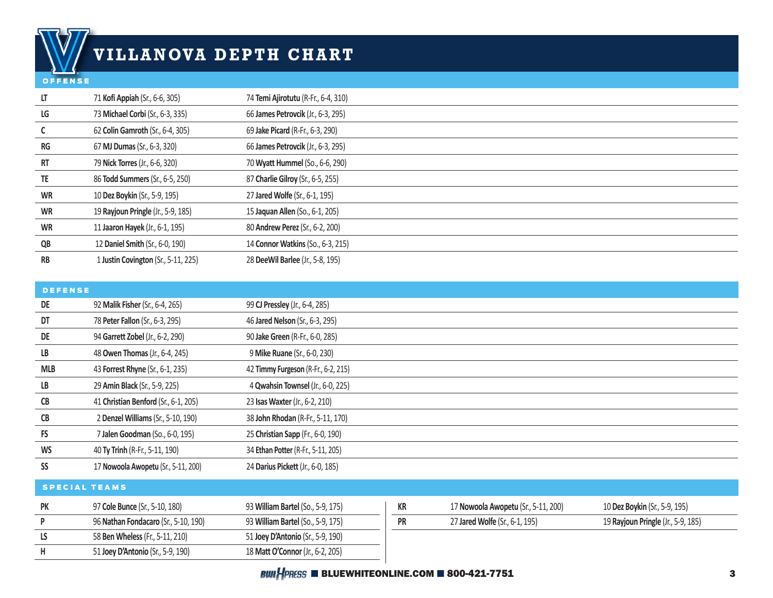# **VILLANOVA DEPTH CHART**

#### OFFENSE

| LT        | 71 Kofi Appiah (Sr., 6-6, 305)      | 74 Temi Ajirotutu (R-Fr., 6-4, 310) |
|-----------|-------------------------------------|-------------------------------------|
| LG        | 73 Michael Corbi (Sr., 6-3, 335)    | 66 James Petrovcik (Jr., 6-3, 295)  |
|           | 62 Colin Gamroth (Sr., 6-4, 305)    | 69 Jake Picard (R-Fr., 6-3, 290)    |
| <b>RG</b> | 67 MJ Dumas (Sr., 6-3, 320)         | 66 James Petrovcik (Jr., 6-3, 295)  |
| RT        | 79 Nick Torres (Jr., 6-6, 320)      | 70 Wyatt Hummel (So., 6-6, 290)     |
| TE        | 86 Todd Summers (Sr., 6-5, 250)     | 87 Charlie Gilroy (Sr., 6-5, 255)   |
| <b>WR</b> | 10 Dez Boykin (Sr., 5-9, 195)       | 27 Jared Wolfe (Sr., 6-1, 195)      |
| <b>WR</b> | 19 Rayjoun Pringle (Jr., 5-9, 185)  | 15 Jaquan Allen (So., 6-1, 205)     |
| <b>WR</b> | 11 Jaaron Hayek (Jr., 6-1, 195)     | 80 Andrew Perez (Sr., 6-2, 200)     |
| QB        | 12 Daniel Smith (Sr., 6-0, 190)     | 14 Connor Watkins (So., 6-3, 215)   |
| <b>RB</b> | 1 Justin Covington (Sr., 5-11, 225) | 28 DeeWil Barlee (Jr., 5-8, 195)    |

| <b>DEFENSE</b>       |                                      |                                     |           |                                     |                                    |
|----------------------|--------------------------------------|-------------------------------------|-----------|-------------------------------------|------------------------------------|
| DE                   | 92 Malik Fisher (Sr., 6-4, 265)      | 99 CJ Pressley (Jr., 6-4, 285)      |           |                                     |                                    |
| DT                   | 78 Peter Fallon (Sr., 6-3, 295)      | 46 Jared Nelson (Sr., 6-3, 295)     |           |                                     |                                    |
| DE                   | 94 Garrett Zobel (Jr., 6-2, 290)     | 90 Jake Green (R-Fr., 6-0, 285)     |           |                                     |                                    |
| LB                   | 48 Owen Thomas (Jr., 6-4, 245)       | 9 Mike Ruane (Sr., 6-0, 230)        |           |                                     |                                    |
| <b>MLB</b>           | 43 Forrest Rhyne (Sr., 6-1, 235)     | 42 Timmy Furgeson (R-Fr., 6-2, 215) |           |                                     |                                    |
| LB                   | 29 Amin Black (Sr., 5-9, 225)        | 4 Qwahsin Townsel (Jr., 6-0, 225)   |           |                                     |                                    |
| CB                   | 41 Christian Benford (Sr., 6-1, 205) | 23 Isas Waxter (Jr., 6-2, 210)      |           |                                     |                                    |
| CB                   | 2 Denzel Williams (Sr., 5-10, 190)   | 38 John Rhodan (R-Fr., 5-11, 170)   |           |                                     |                                    |
| <b>FS</b>            | 7 Jalen Goodman (So., 6-0, 195)      | 25 Christian Sapp (Fr., 6-0, 190)   |           |                                     |                                    |
| <b>WS</b>            | 40 Ty Trinh (R-Fr., 5-11, 190)       | 34 Ethan Potter (R-Fr., 5-11, 205)  |           |                                     |                                    |
| SS                   | 17 Nowoola Awopetu (Sr., 5-11, 200)  | 24 Darius Pickett (Jr., 6-0, 185)   |           |                                     |                                    |
| <b>SPECIAL TEAMS</b> |                                      |                                     |           |                                     |                                    |
| <b>PK</b>            | 97 Cole Bunce (Sr., 5-10, 180)       | 93 William Bartel (So., 5-9, 175)   | KR        | 17 Nowoola Awopetu (Sr., 5-11, 200) | 10 Dez Boykin (Sr., 5-9, 195)      |
| P                    | 96 Nathan Fondacaro (Sr., 5-10, 190) | 93 William Bartel (So., 5-9, 175)   | <b>PR</b> | 27 Jared Wolfe (Sr., 6-1, 195)      | 19 Rayjoun Pringle (Jr., 5-9, 185) |
| LS                   | 58 Ben Wheless (Fr., 5-11, 210)      | 51 Joey D'Antonio (Sr., 5-9, 190)   |           |                                     |                                    |
| Н                    | 51 Joey D'Antonio (Sr., 5-9, 190)    | 18 Matt O'Connor (Jr., 6-2, 205)    |           |                                     |                                    |